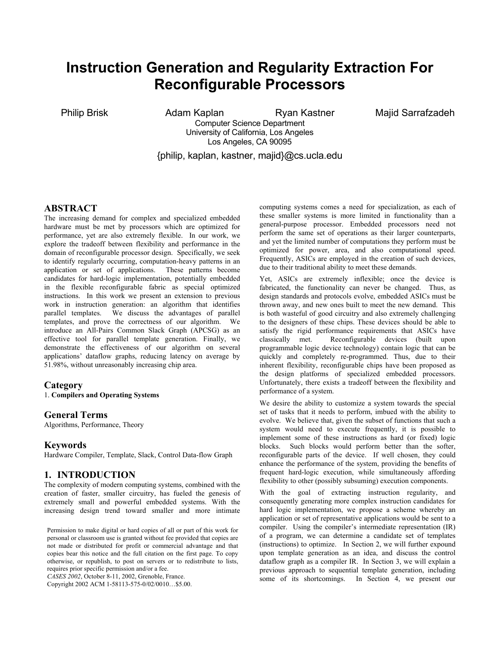# **Instruction Generation and Regularity Extraction For Reconfigurable Processors**

Philip Brisk **Adam Kaplan** Ryan Kastner Majid Sarrafzadeh

Los Angeles, CA 90095 {philip, kaplan, kastner, majid}@cs.ucla.edu

Computer Science Department University of California, Los Angeles

#### **ABSTRACT**

The increasing demand for complex and specialized embedded hardware must be met by processors which are optimized for performance, yet are also extremely flexible. In our work, we explore the tradeoff between flexibility and performance in the domain of reconfigurable processor design. Specifically, we seek to identify regularly occurring, computation-heavy patterns in an application or set of applications. These patterns become candidates for hard-logic implementation, potentially embedded in the flexible reconfigurable fabric as special optimized instructions. In this work we present an extension to previous work in instruction generation: an algorithm that identifies parallel templates. We discuss the advantages of parallel templates, and prove the correctness of our algorithm. We introduce an All-Pairs Common Slack Graph (APCSG) as an effective tool for parallel template generation. Finally, we demonstrate the effectiveness of our algorithm on several applications' dataflow graphs, reducing latency on average by 51.98%, without unreasonably increasing chip area.

# **Category**

1. **Compilers and Operating Systems**

#### **General Terms**

Algorithms, Performance, Theory

#### **Keywords**

Hardware Compiler, Template, Slack, Control Data-flow Graph

#### **1. INTRODUCTION**

The complexity of modern computing systems, combined with the creation of faster, smaller circuitry, has fueled the genesis of extremely small and powerful embedded systems. With the increasing design trend toward smaller and more intimate

Permission to make digital or hard copies of all or part of this work for personal or classroom use is granted without fee provided that copies are not made or distributed for profit or commercial advantage and that copies bear this notice and the full citation on the first page. To copy otherwise, or republish, to post on servers or to redistribute to lists, requires prior specific permission and/or a fee.

*CASES 2002*, October 8-11, 2002, Grenoble, France.

Copyright 2002 ACM 1-58113-575-0/02/0010…\$5.00.

computing systems comes a need for specialization, as each of these smaller systems is more limited in functionality than a general-purpose processor. Embedded processors need not perform the same set of operations as their larger counterparts, and yet the limited number of computations they perform must be optimized for power, area, and also computational speed. Frequently, ASICs are employed in the creation of such devices, due to their traditional ability to meet these demands.

Yet, ASICs are extremely inflexible; once the device is fabricated, the functionality can never be changed. Thus, as design standards and protocols evolve, embedded ASICs must be thrown away, and new ones built to meet the new demand. This is both wasteful of good circuitry and also extremely challenging to the designers of these chips. These devices should be able to satisfy the rigid performance requirements that ASICs have classically met. Reconfigurable devices (built upon programmable logic device technology) contain logic that can be quickly and completely re-programmed. Thus, due to their inherent flexibility, reconfigurable chips have been proposed as the design platforms of specialized embedded processors. Unfortunately, there exists a tradeoff between the flexibility and performance of a system.

We desire the ability to customize a system towards the special set of tasks that it needs to perform, imbued with the ability to evolve. We believe that, given the subset of functions that such a system would need to execute frequently, it is possible to implement some of these instructions as hard (or fixed) logic blocks. Such blocks would perform better than the softer, reconfigurable parts of the device. If well chosen, they could enhance the performance of the system, providing the benefits of frequent hard-logic execution, while simultaneously affording flexibility to other (possibly subsuming) execution components.

With the goal of extracting instruction regularity, and consequently generating more complex instruction candidates for hard logic implementation, we propose a scheme whereby an application or set of representative applications would be sent to a compiler. Using the compiler's intermediate representation (IR) of a program, we can determine a candidate set of templates (instructions) to optimize. In Section 2, we will further expound upon template generation as an idea, and discuss the control dataflow graph as a compiler IR. In Section 3, we will explain a previous approach to sequential template generation, including some of its shortcomings. In Section 4, we present our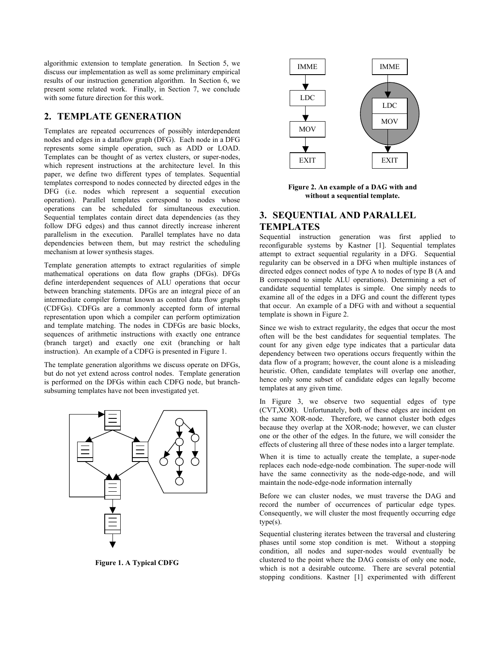algorithmic extension to template generation. In Section 5, we discuss our implementation as well as some preliminary empirical results of our instruction generation algorithm. In Section 6, we present some related work. Finally, in Section 7, we conclude with some future direction for this work.

# **2. TEMPLATE GENERATION**

Templates are repeated occurrences of possibly interdependent nodes and edges in a dataflow graph (DFG). Each node in a DFG represents some simple operation, such as ADD or LOAD. Templates can be thought of as vertex clusters, or super-nodes, which represent instructions at the architecture level. In this paper, we define two different types of templates. Sequential templates correspond to nodes connected by directed edges in the DFG (i.e. nodes which represent a sequential execution operation). Parallel templates correspond to nodes whose operations can be scheduled for simultaneous execution. Sequential templates contain direct data dependencies (as they follow DFG edges) and thus cannot directly increase inherent parallelism in the execution. Parallel templates have no data dependencies between them, but may restrict the scheduling mechanism at lower synthesis stages.

Template generation attempts to extract regularities of simple mathematical operations on data flow graphs (DFGs). DFGs define interdependent sequences of ALU operations that occur between branching statements. DFGs are an integral piece of an intermediate compiler format known as control data flow graphs (CDFGs). CDFGs are a commonly accepted form of internal representation upon which a compiler can perform optimization and template matching. The nodes in CDFGs are basic blocks, sequences of arithmetic instructions with exactly one entrance (branch target) and exactly one exit (branching or halt instruction). An example of a CDFG is presented in Figure 1.

The template generation algorithms we discuss operate on DFGs, but do not yet extend across control nodes. Template generation is performed on the DFGs within each CDFG node, but branchsubsuming templates have not been investigated yet.



**Figure 1. A Typical CDFG** 



**Figure 2. An example of a DAG with and without a sequential template.** 

# **3. SEQUENTIAL AND PARALLEL TEMPLATES**

Sequential instruction generation was first applied to reconfigurable systems by Kastner [1]. Sequential templates attempt to extract sequential regularity in a DFG. Sequential regularity can be observed in a DFG when multiple instances of directed edges connect nodes of type A to nodes of type B (A and B correspond to simple ALU operations). Determining a set of candidate sequential templates is simple. One simply needs to examine all of the edges in a DFG and count the different types that occur. An example of a DFG with and without a sequential template is shown in Figure 2.

Since we wish to extract regularity, the edges that occur the most often will be the best candidates for sequential templates. The count for any given edge type indicates that a particular data dependency between two operations occurs frequently within the data flow of a program; however, the count alone is a misleading heuristic. Often, candidate templates will overlap one another, hence only some subset of candidate edges can legally become templates at any given time.

In Figure 3, we observe two sequential edges of type (CVT,XOR). Unfortunately, both of these edges are incident on the same XOR-node. Therefore, we cannot cluster both edges because they overlap at the XOR-node; however, we can cluster one or the other of the edges. In the future, we will consider the effects of clustering all three of these nodes into a larger template.

When it is time to actually create the template, a super-node replaces each node-edge-node combination. The super-node will have the same connectivity as the node-edge-node, and will maintain the node-edge-node information internally

Before we can cluster nodes, we must traverse the DAG and record the number of occurrences of particular edge types. Consequently, we will cluster the most frequently occurring edge type(s).

Sequential clustering iterates between the traversal and clustering phases until some stop condition is met. Without a stopping condition, all nodes and super-nodes would eventually be clustered to the point where the DAG consists of only one node, which is not a desirable outcome. There are several potential stopping conditions. Kastner [1] experimented with different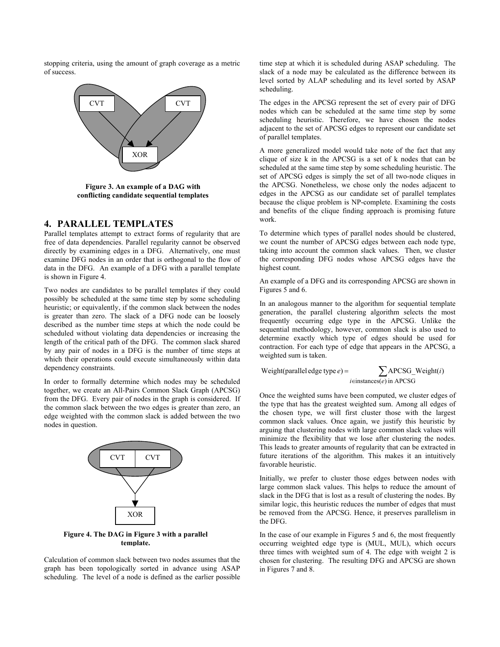stopping criteria, using the amount of graph coverage as a metric of success.



**Figure 3. An example of a DAG with conflicting candidate sequential templates** 

# **4. PARALLEL TEMPLATES**

Parallel templates attempt to extract forms of regularity that are free of data dependencies. Parallel regularity cannot be observed directly by examining edges in a DFG. Alternatively, one must examine DFG nodes in an order that is orthogonal to the flow of data in the DFG. An example of a DFG with a parallel template is shown in Figure 4.

Two nodes are candidates to be parallel templates if they could possibly be scheduled at the same time step by some scheduling heuristic; or equivalently, if the common slack between the nodes is greater than zero. The slack of a DFG node can be loosely described as the number time steps at which the node could be scheduled without violating data dependencies or increasing the length of the critical path of the DFG. The common slack shared by any pair of nodes in a DFG is the number of time steps at which their operations could execute simultaneously within data dependency constraints.

In order to formally determine which nodes may be scheduled together, we create an All-Pairs Common Slack Graph (APCSG) from the DFG. Every pair of nodes in the graph is considered. If the common slack between the two edges is greater than zero, an edge weighted with the common slack is added between the two nodes in question.



**Figure 4. The DAG in Figure 3 with a parallel template.**

Calculation of common slack between two nodes assumes that the graph has been topologically sorted in advance using ASAP scheduling. The level of a node is defined as the earlier possible time step at which it is scheduled during ASAP scheduling. The slack of a node may be calculated as the difference between its level sorted by ALAP scheduling and its level sorted by ASAP scheduling.

The edges in the APCSG represent the set of every pair of DFG nodes which can be scheduled at the same time step by some scheduling heuristic. Therefore, we have chosen the nodes adjacent to the set of APCSG edges to represent our candidate set of parallel templates.

A more generalized model would take note of the fact that any clique of size k in the APCSG is a set of k nodes that can be scheduled at the same time step by some scheduling heuristic. The set of APCSG edges is simply the set of all two-node cliques in the APCSG. Nonetheless, we chose only the nodes adjacent to edges in the APCSG as our candidate set of parallel templates because the clique problem is NP-complete. Examining the costs and benefits of the clique finding approach is promising future work.

To determine which types of parallel nodes should be clustered, we count the number of APCSG edges between each node type, taking into account the common slack values. Then, we cluster the corresponding DFG nodes whose APCSG edges have the highest count.

An example of a DFG and its corresponding APCSG are shown in Figures 5 and 6.

In an analogous manner to the algorithm for sequential template generation, the parallel clustering algorithm selects the most frequently occurring edge type in the APCSG. Unlike the sequential methodology, however, common slack is also used to determine exactly which type of edges should be used for contraction. For each type of edge that appears in the APCSG, a weighted sum is taken.

∑  $\epsilon$ instances $(e)$  in APCSG Weight(parallel edge type  $e$ ) = Weight(parallel edge type  $e$ ) =  $\qquad \qquad \sum$  APCSG\_Weight(*i*) *i* ∈instances(*e*  $e$  *i*  $\rightarrow$  APCSG\_Weight(*i* 

Once the weighted sums have been computed, we cluster edges of the type that has the greatest weighted sum. Among all edges of the chosen type, we will first cluster those with the largest common slack values. Once again, we justify this heuristic by arguing that clustering nodes with large common slack values will minimize the flexibility that we lose after clustering the nodes. This leads to greater amounts of regularity that can be extracted in future iterations of the algorithm. This makes it an intuitively favorable heuristic.

Initially, we prefer to cluster those edges between nodes with large common slack values. This helps to reduce the amount of slack in the DFG that is lost as a result of clustering the nodes. By similar logic, this heuristic reduces the number of edges that must be removed from the APCSG. Hence, it preserves parallelism in the DFG.

In the case of our example in Figures 5 and 6, the most frequently occurring weighted edge type is (MUL, MUL), which occurs three times with weighted sum of 4. The edge with weight 2 is chosen for clustering. The resulting DFG and APCSG are shown in Figures 7 and 8.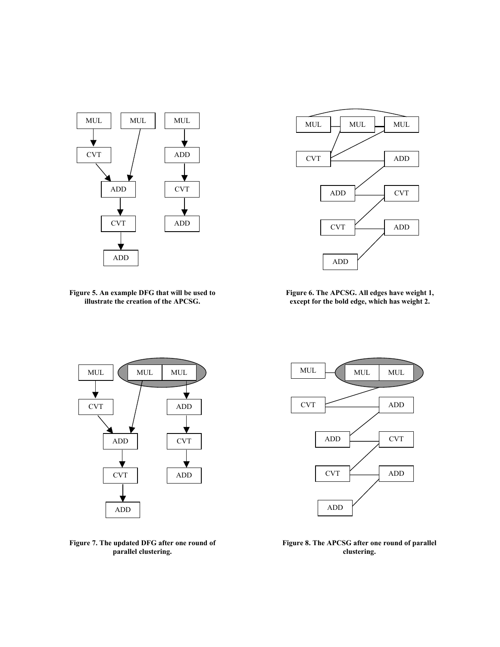



**Figure 5. An example DFG that will be used to illustrate the creation of the APCSG.** 









**Figure 8. The APCSG after one round of parallel clustering.**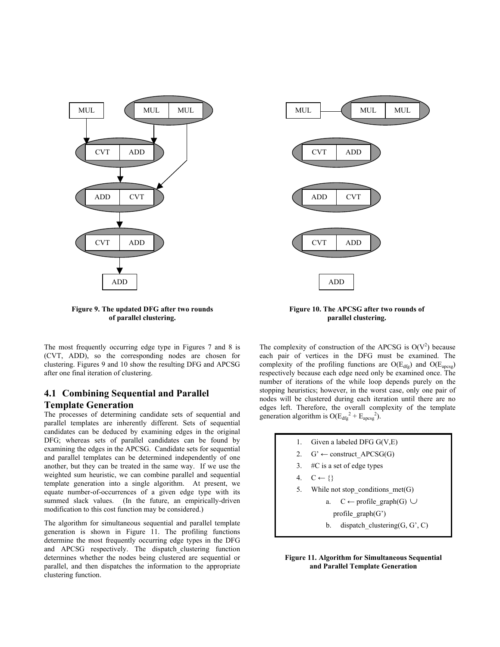



**Figure 9. The updated DFG after two rounds of parallel clustering.** 

**Figure 10. The APCSG after two rounds of parallel clustering.** 

The most frequently occurring edge type in Figures 7 and 8 is (CVT, ADD), so the corresponding nodes are chosen for clustering. Figures 9 and 10 show the resulting DFG and APCSG after one final iteration of clustering.

# **4.1 Combining Sequential and Parallel Template Generation**

The processes of determining candidate sets of sequential and parallel templates are inherently different. Sets of sequential candidates can be deduced by examining edges in the original DFG; whereas sets of parallel candidates can be found by examining the edges in the APCSG. Candidate sets for sequential and parallel templates can be determined independently of one another, but they can be treated in the same way. If we use the weighted sum heuristic, we can combine parallel and sequential template generation into a single algorithm. At present, we equate number-of-occurrences of a given edge type with its summed slack values. (In the future, an empirically-driven modification to this cost function may be considered.)

The algorithm for simultaneous sequential and parallel template generation is shown in Figure 11. The profiling functions determine the most frequently occurring edge types in the DFG and APCSG respectively. The dispatch clustering function determines whether the nodes being clustered are sequential or parallel, and then dispatches the information to the appropriate clustering function.

The complexity of construction of the APCSG is  $O(V^2)$  because each pair of vertices in the DFG must be examined. The complexity of the profiling functions are  $O(E_{dfg})$  and  $O(E_{\text{ancsg}})$ respectively because each edge need only be examined once. The number of iterations of the while loop depends purely on the stopping heuristics; however, in the worst case, only one pair of nodes will be clustered during each iteration until there are no edges left. Therefore, the overall complexity of the template generation algorithm is  $O(E_{dfg}^2 + E_{apcsg}^2)$ .



**Figure 11. Algorithm for Simultaneous Sequential and Parallel Template Generation**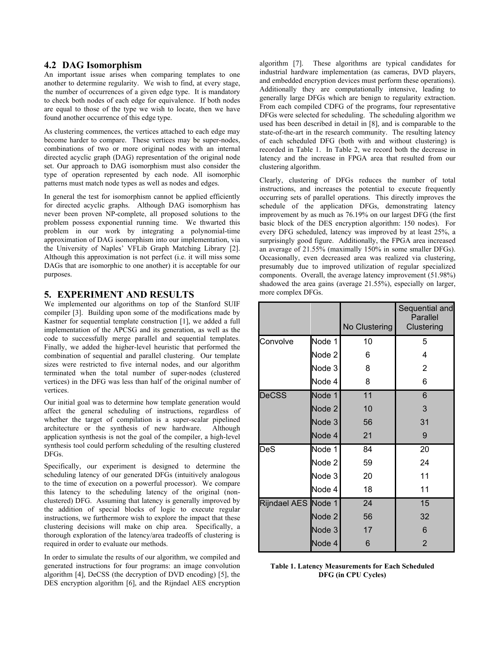# **4.2 DAG Isomorphism**

An important issue arises when comparing templates to one another to determine regularity. We wish to find, at every stage, the number of occurrences of a given edge type. It is mandatory to check both nodes of each edge for equivalence. If both nodes are equal to those of the type we wish to locate, then we have found another occurrence of this edge type.

As clustering commences, the vertices attached to each edge may become harder to compare. These vertices may be super-nodes, combinations of two or more original nodes with an internal directed acyclic graph (DAG) representation of the original node set. Our approach to DAG isomorphism must also consider the type of operation represented by each node. All isomorphic patterns must match node types as well as nodes and edges.

In general the test for isomorphism cannot be applied efficiently for directed acyclic graphs. Although DAG isomorphism has never been proven NP-complete, all proposed solutions to the problem possess exponential running time. We thwarted this problem in our work by integrating a polynomial-time approximation of DAG isomorphism into our implementation, via the University of Naples' VFLib Graph Matching Library [2]. Although this approximation is not perfect (i.e. it will miss some DAGs that are isomorphic to one another) it is acceptable for our purposes.

### **5. EXPERIMENT AND RESULTS**

We implemented our algorithms on top of the Stanford SUIF compiler [3]. Building upon some of the modifications made by Kastner for sequential template construction [1], we added a full implementation of the APCSG and its generation, as well as the code to successfully merge parallel and sequential templates. Finally, we added the higher-level heuristic that performed the combination of sequential and parallel clustering. Our template sizes were restricted to five internal nodes, and our algorithm terminated when the total number of super-nodes (clustered vertices) in the DFG was less than half of the original number of vertices.

Our initial goal was to determine how template generation would affect the general scheduling of instructions, regardless of whether the target of compilation is a super-scalar pipelined architecture or the synthesis of new hardware. Although application synthesis is not the goal of the compiler, a high-level synthesis tool could perform scheduling of the resulting clustered DFGs.

Specifically, our experiment is designed to determine the scheduling latency of our generated DFGs (intuitively analogous to the time of execution on a powerful processor). We compare this latency to the scheduling latency of the original (nonclustered) DFG. Assuming that latency is generally improved by the addition of special blocks of logic to execute regular instructions, we furthermore wish to explore the impact that these clustering decisions will make on chip area. Specifically, a thorough exploration of the latency/area tradeoffs of clustering is required in order to evaluate our methods.

In order to simulate the results of our algorithm, we compiled and generated instructions for four programs: an image convolution algorithm [4], DeCSS (the decryption of DVD encoding) [5], the DES encryption algorithm [6], and the Rijndael AES encryption

algorithm [7]. These algorithms are typical candidates for industrial hardware implementation (as cameras, DVD players, and embedded encryption devices must perform these operations). Additionally they are computationally intensive, leading to generally large DFGs which are benign to regularity extraction. From each compiled CDFG of the programs, four representative DFGs were selected for scheduling. The scheduling algorithm we used has been described in detail in [8], and is comparable to the state-of-the-art in the research community. The resulting latency of each scheduled DFG (both with and without clustering) is recorded in Table 1. In Table 2, we record both the decrease in latency and the increase in FPGA area that resulted from our clustering algorithm.

Clearly, clustering of DFGs reduces the number of total instructions, and increases the potential to execute frequently occurring sets of parallel operations. This directly improves the schedule of the application DFGs, demonstrating latency improvement by as much as 76.19% on our largest DFG (the first basic block of the DES encryption algorithm: 150 nodes). For every DFG scheduled, latency was improved by at least 25%, a surprisingly good figure. Additionally, the FPGA area increased an average of 21.55% (maximally 150% in some smaller DFGs). Occasionally, even decreased area was realized via clustering, presumably due to improved utilization of regular specialized components. Overall, the average latency improvement (51.98%) shadowed the area gains (average 21.55%), especially on larger, more complex DFGs.

|                     |        | No Clustering | Sequential and<br>Parallel<br>Clustering |  |
|---------------------|--------|---------------|------------------------------------------|--|
| Convolve            | Node 1 | 10            | 5                                        |  |
|                     | Node 2 | 6             | 4                                        |  |
|                     | Node 3 | 8             | $\overline{2}$                           |  |
|                     | Node 4 | 8             | 6                                        |  |
| <b>DeCSS</b>        | Node 1 | 11            | 6                                        |  |
|                     | Node 2 | 10            | 3                                        |  |
|                     | Node 3 | 56            | 31                                       |  |
|                     | Node 4 | 21            | 9                                        |  |
| DeS                 | Node 1 | 84            | 20                                       |  |
|                     | Node 2 | 59            | 24                                       |  |
|                     | Node 3 | 20            | 11                                       |  |
|                     | Node 4 | 18            | 11                                       |  |
| Rijndael AES Node 1 |        | 24            | 15                                       |  |
|                     | Node 2 | 56            | 32                                       |  |
|                     | Node 3 | 17            | 6                                        |  |
|                     | Node 4 | 6             | $\overline{2}$                           |  |

#### **Table 1. Latency Measurements for Each Scheduled DFG (in CPU Cycles)**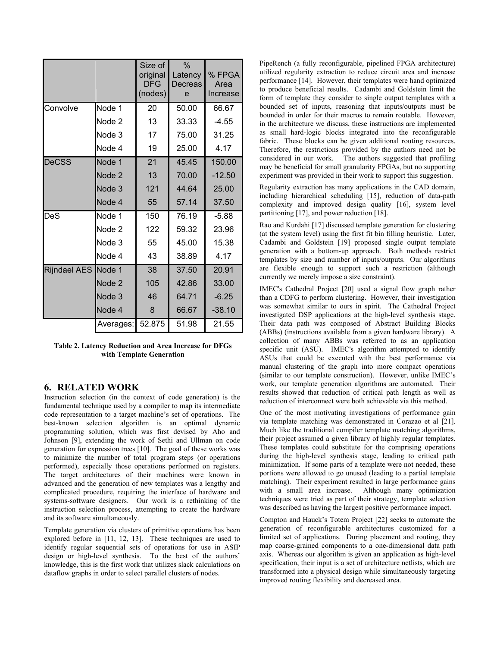|                     |           | Size of<br>original<br><b>DFG</b><br>(nodes) | $\frac{0}{0}$<br>Latency<br>Decreas<br>e | % FPGA<br>Area<br>Increase |
|---------------------|-----------|----------------------------------------------|------------------------------------------|----------------------------|
| Convolve            | Node 1    | 20                                           | 50.00                                    | 66.67                      |
|                     | Node 2    | 13                                           | 33.33                                    | $-4.55$                    |
|                     | Node 3    | 17                                           | 75.00                                    | 31.25                      |
|                     | Node 4    | 19                                           | 25.00                                    | 4.17                       |
| <b>DeCSS</b>        | Node 1    | 21                                           | 45.45                                    | 150.00                     |
|                     | Node 2    | 13                                           | 70.00                                    | $-12.50$                   |
|                     | Node 3    | 121                                          | 44.64                                    | 25.00                      |
|                     | Node 4    | 55                                           | 57.14                                    | 37.50                      |
| <b>DeS</b>          | Node 1    | 150                                          | 76.19                                    | $-5.88$                    |
|                     | Node 2    | 122                                          | 59.32                                    | 23.96                      |
|                     | Node 3    | 55                                           | 45.00                                    | 15.38                      |
|                     | Node 4    | 43                                           | 38.89                                    | 4.17                       |
| <b>Rijndael AES</b> | Node 1    | 38                                           | 37.50                                    | 20.91                      |
|                     | Node 2    | 105                                          | 42.86                                    | 33.00                      |
|                     | Node 3    | 46                                           | 64.71                                    | $-6.25$                    |
|                     | Node 4    | 8                                            | 66.67                                    | $-38.10$                   |
|                     | Averages: | 52.875                                       | 51.98                                    | 21.55                      |

**Table 2. Latency Reduction and Area Increase for DFGs with Template Generation** 

# **6. RELATED WORK**

Instruction selection (in the context of code generation) is the fundamental technique used by a compiler to map its intermediate code representation to a target machine's set of operations. The best-known selection algorithm is an optimal dynamic programming solution, which was first devised by Aho and Johnson [9], extending the work of Sethi and Ullman on code generation for expression trees [10]. The goal of these works was to minimize the number of total program steps (or operations performed), especially those operations performed on registers. The target architectures of their machines were known in advanced and the generation of new templates was a lengthy and complicated procedure, requiring the interface of hardware and systems-software designers. Our work is a rethinking of the instruction selection process, attempting to create the hardware and its software simultaneously.

Template generation via clusters of primitive operations has been explored before in [11, 12, 13]. These techniques are used to identify regular sequential sets of operations for use in ASIP design or high-level synthesis. To the best of the authors' knowledge, this is the first work that utilizes slack calculations on dataflow graphs in order to select parallel clusters of nodes.

PipeRench (a fully reconfigurable, pipelined FPGA architecture) utilized regularity extraction to reduce circuit area and increase performance [14]. However, their templates were hand optimized to produce beneficial results. Cadambi and Goldstein limit the form of template they consider to single output templates with a bounded set of inputs, reasoning that inputs/outputs must be bounded in order for their macros to remain routable. However, in the architecture we discuss, these instructions are implemented as small hard-logic blocks integrated into the reconfigurable fabric. These blocks can be given additional routing resources. Therefore, the restrictions provided by the authors need not be considered in our work. The authors suggested that profiling may be beneficial for small granularity FPGAs, but no supporting experiment was provided in their work to support this suggestion.

Regularity extraction has many applications in the CAD domain, including hierarchical scheduling [15], reduction of data-path complexity and improved design quality [16], system level partitioning [17], and power reduction [18].

Rao and Kurdahi [17] discussed template generation for clustering (at the system level) using the first fit bin filling heuristic. Later, Cadambi and Goldstein [19] proposed single output template generation with a bottom-up approach. Both methods restrict templates by size and number of inputs/outputs. Our algorithms are flexible enough to support such a restriction (although currently we merely impose a size constraint).

IMEC's Cathedral Project [20] used a signal flow graph rather than a CDFG to perform clustering. However, their investigation was somewhat similar to ours in spirit. The Cathedral Project investigated DSP applications at the high-level synthesis stage. Their data path was composed of Abstract Building Blocks (ABBs) (instructions available from a given hardware library). A collection of many ABBs was referred to as an application specific unit (ASU). IMEC's algorithm attempted to identify ASUs that could be executed with the best performance via manual clustering of the graph into more compact operations (similar to our template construction). However, unlike IMEC's work, our template generation algorithms are automated. Their results showed that reduction of critical path length as well as reduction of interconnect were both achievable via this method.

One of the most motivating investigations of performance gain via template matching was demonstrated in Corazao et al [21]. Much like the traditional compiler template matching algorithms, their project assumed a given library of highly regular templates. These templates could substitute for the comprising operations during the high-level synthesis stage, leading to critical path minimization. If some parts of a template were not needed, these portions were allowed to go unused (leading to a partial template matching). Their experiment resulted in large performance gains with a small area increase. Although many optimization techniques were tried as part of their strategy, template selection was described as having the largest positive performance impact.

Compton and Hauck's Totem Project [22] seeks to automate the generation of reconfigurable architectures customized for a limited set of applications. During placement and routing, they map coarse-grained components to a one-dimensional data path axis. Whereas our algorithm is given an application as high-level specification, their input is a set of architecture netlists, which are transformed into a physical design while simultaneously targeting improved routing flexibility and decreased area.